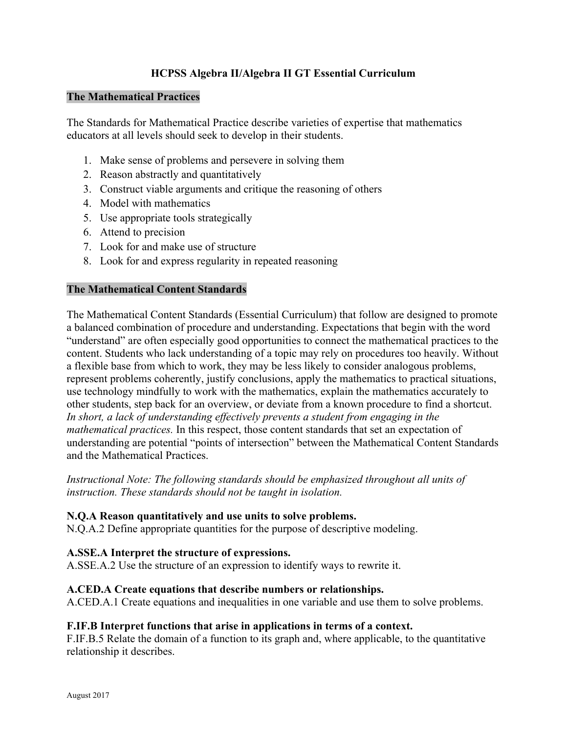# **HCPSS Algebra II/Algebra II GT Essential Curriculum**

### **The Mathematical Practices**

The Standards for Mathematical Practice describe varieties of expertise that mathematics educators at all levels should seek to develop in their students.

- 1. Make sense of problems and persevere in solving them
- 2. Reason abstractly and quantitatively
- 3. Construct viable arguments and critique the reasoning of others
- 4. Model with mathematics
- 5. Use appropriate tools strategically
- 6. Attend to precision
- 7. Look for and make use of structure
- 8. Look for and express regularity in repeated reasoning

### **The Mathematical Content Standards**

The Mathematical Content Standards (Essential Curriculum) that follow are designed to promote a balanced combination of procedure and understanding. Expectations that begin with the word "understand" are often especially good opportunities to connect the mathematical practices to the content. Students who lack understanding of a topic may rely on procedures too heavily. Without a flexible base from which to work, they may be less likely to consider analogous problems, represent problems coherently, justify conclusions, apply the mathematics to practical situations, use technology mindfully to work with the mathematics, explain the mathematics accurately to other students, step back for an overview, or deviate from a known procedure to find a shortcut. *In short, a lack of understanding effectively prevents a student from engaging in the mathematical practices.* In this respect, those content standards that set an expectation of understanding are potential "points of intersection" between the Mathematical Content Standards and the Mathematical Practices.

*Instructional Note: The following standards should be emphasized throughout all units of instruction. These standards should not be taught in isolation.* 

### **N.Q.A Reason quantitatively and use units to solve problems.**

N.Q.A.2 Define appropriate quantities for the purpose of descriptive modeling.

### **A.SSE.A Interpret the structure of expressions.**

A.SSE.A.2 Use the structure of an expression to identify ways to rewrite it.

### **A.CED.A Create equations that describe numbers or relationships.**

A.CED.A.1 Create equations and inequalities in one variable and use them to solve problems.

### **F.IF.B Interpret functions that arise in applications in terms of a context.**

F.IF.B.5 Relate the domain of a function to its graph and, where applicable, to the quantitative relationship it describes.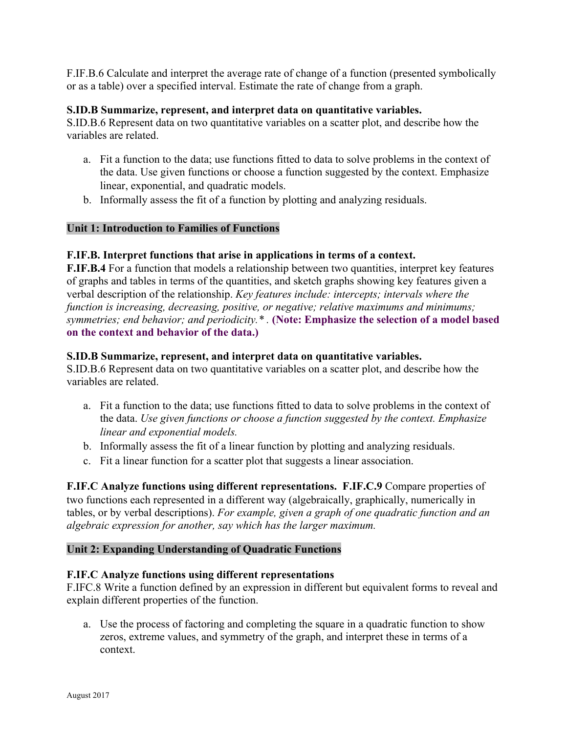F.IF.B.6 Calculate and interpret the average rate of change of a function (presented symbolically or as a table) over a specified interval. Estimate the rate of change from a graph.

### **S.ID.B Summarize, represent, and interpret data on quantitative variables.**

S.ID.B.6 Represent data on two quantitative variables on a scatter plot, and describe how the variables are related.

- a. Fit a function to the data; use functions fitted to data to solve problems in the context of the data. Use given functions or choose a function suggested by the context. Emphasize linear, exponential, and quadratic models.
- b. Informally assess the fit of a function by plotting and analyzing residuals.

### **Unit 1: Introduction to Families of Functions**

#### **F.IF.B. Interpret functions that arise in applications in terms of a context.**

**F.IF.B.4** For a function that models a relationship between two quantities, interpret key features of graphs and tables in terms of the quantities, and sketch graphs showing key features given a verbal description of the relationship. *Key features include: intercepts; intervals where the function is increasing, decreasing, positive, or negative; relative maximums and minimums; symmetries; end behavior; and periodicity.\* .* **(Note: Emphasize the selection of a model based on the context and behavior of the data.)** 

#### **S.ID.B Summarize, represent, and interpret data on quantitative variables.**

S.ID.B.6 Represent data on two quantitative variables on a scatter plot, and describe how the variables are related.

- a. Fit a function to the data; use functions fitted to data to solve problems in the context of the data. *Use given functions or choose a function suggested by the context. Emphasize linear and exponential models.*
- b. Informally assess the fit of a linear function by plotting and analyzing residuals.
- c. Fit a linear function for a scatter plot that suggests a linear association.

**F.IF.C Analyze functions using different representations. F.IF.C.9** Compare properties of two functions each represented in a different way (algebraically, graphically, numerically in tables, or by verbal descriptions). *For example, given a graph of one quadratic function and an algebraic expression for another, say which has the larger maximum.* 

#### **Unit 2: Expanding Understanding of Quadratic Functions**

#### **F.IF.C Analyze functions using different representations**

F.IFC.8 Write a function defined by an expression in different but equivalent forms to reveal and explain different properties of the function.

a. Use the process of factoring and completing the square in a quadratic function to show zeros, extreme values, and symmetry of the graph, and interpret these in terms of a context.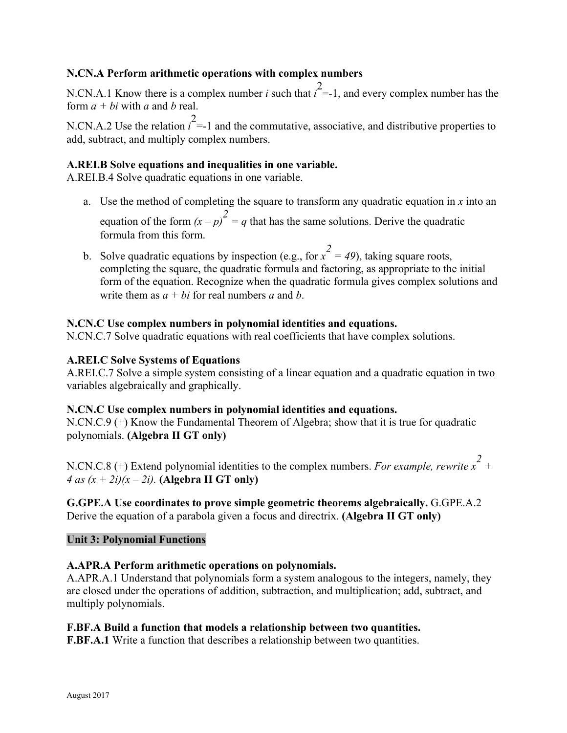# **N.CN.A Perform arithmetic operations with complex numbers**

N.CN.A.1 Know there is a complex number *i* such that  $\hat{i} = -1$ , and every complex number has the form *a + bi* with *a* and *b* real.

N.CN.A.2 Use the relation  $\hat{i}$  =-1 and the commutative, associative, and distributive properties to add, subtract, and multiply complex numbers.

### **A.REI.B Solve equations and inequalities in one variable.**

A.REI.B.4 Solve quadratic equations in one variable.

- a. Use the method of completing the square to transform any quadratic equation in  $x$  into an equation of the form  $(x - p)^2 = q$  that has the same solutions. Derive the quadratic formula from this form.
- b. Solve quadratic equations by inspection (e.g., for  $x^2 = 49$ ), taking square roots, completing the square, the quadratic formula and factoring, as appropriate to the initial form of the equation. Recognize when the quadratic formula gives complex solutions and write them as  $a + bi$  for real numbers a and b.

### **N.CN.C Use complex numbers in polynomial identities and equations.**

N.CN.C.7 Solve quadratic equations with real coefficients that have complex solutions.

### **A.REI.C Solve Systems of Equations**

A.REI.C.7 Solve a simple system consisting of a linear equation and a quadratic equation in two variables algebraically and graphically.

### **N.CN.C Use complex numbers in polynomial identities and equations.**

N.CN.C.9 (+) Know the Fundamental Theorem of Algebra; show that it is true for quadratic polynomials. **(Algebra II GT only)** 

N.CN.C.8 (+) Extend polynomial identities to the complex numbers. *For example, rewrite x<sup>2</sup> + 4 as*  $(x + 2i)(x - 2i)$ *.* (Algebra II GT only)

### **G.GPE.A Use coordinates to prove simple geometric theorems algebraically.** G.GPE.A.2 Derive the equation of a parabola given a focus and directrix. **(Algebra II GT only)**

### **Unit 3: Polynomial Functions**

# **A.APR.A Perform arithmetic operations on polynomials.**

A.APR.A.1 Understand that polynomials form a system analogous to the integers, namely, they are closed under the operations of addition, subtraction, and multiplication; add, subtract, and multiply polynomials.

# **F.BF.A Build a function that models a relationship between two quantities.**

**F.BF.A.1** Write a function that describes a relationship between two quantities.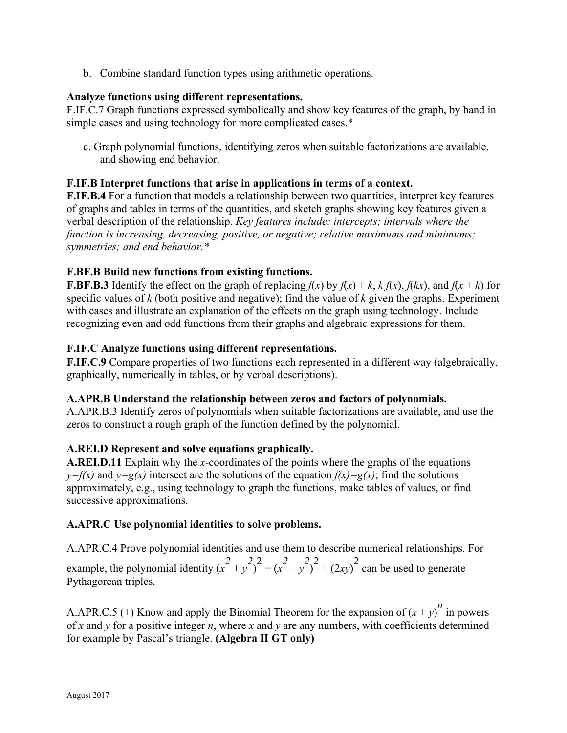b. Combine standard function types using arithmetic operations.

### **Analyze functions using different representations.**

F.IF.C.7 Graph functions expressed symbolically and show key features of the graph, by hand in simple cases and using technology for more complicated cases.\*

c. Graph polynomial functions, identifying zeros when suitable factorizations are available, and showing end behavior.

### **F.IF.B Interpret functions that arise in applications in terms of a context.**

**F.IF.B.4** For a function that models a relationship between two quantities, interpret key features of graphs and tables in terms of the quantities, and sketch graphs showing key features given a verbal description of the relationship. *Key features include: intercepts; intervals where the function is increasing, decreasing, positive, or negative; relative maximums and minimums; symmetries; and end behavior.\** 

# **F.BF.B Build new functions from existing functions.**

**F.BF.B.3** Identify the effect on the graph of replacing  $f(x)$  by  $f(x) + k$ ,  $k f(x)$ ,  $f(kx)$ , and  $f(x + k)$  for specific values of *k* (both positive and negative); find the value of *k* given the graphs. Experiment with cases and illustrate an explanation of the effects on the graph using technology. Include recognizing even and odd functions from their graphs and algebraic expressions for them.

### **F.IF.C Analyze functions using different representations.**

**F.IF.C.9** Compare properties of two functions each represented in a different way (algebraically, graphically, numerically in tables, or by verbal descriptions).

### **A.APR.B Understand the relationship between zeros and factors of polynomials.**

A.APR.B.3 Identify zeros of polynomials when suitable factorizations are available, and use the zeros to construct a rough graph of the function defined by the polynomial.

# **A.REI.D Represent and solve equations graphically.**

**A.REI.D.11** Explain why the *x*-coordinates of the points where the graphs of the equations  $y=f(x)$  and  $y=g(x)$  intersect are the solutions of the equation  $f(x)=g(x)$ ; find the solutions approximately, e.g., using technology to graph the functions, make tables of values, or find successive approximations.

### **A.APR.C Use polynomial identities to solve problems.**

A.APR.C.4 Prove polynomial identities and use them to describe numerical relationships. For example, the polynomial identity  $(x^2 + y^2)^2 = (x^2 - y^2)^2 + (2xy)^2$  can be used to generate Pythagorean triples.

A.APR.C.5 (+) Know and apply the Binomial Theorem for the expansion of  $(x + y)^n$  in powers of *x* and *y* for a positive integer *n*, where *x* and *y* are any numbers, with coefficients determined for example by Pascal's triangle. **(Algebra II GT only)**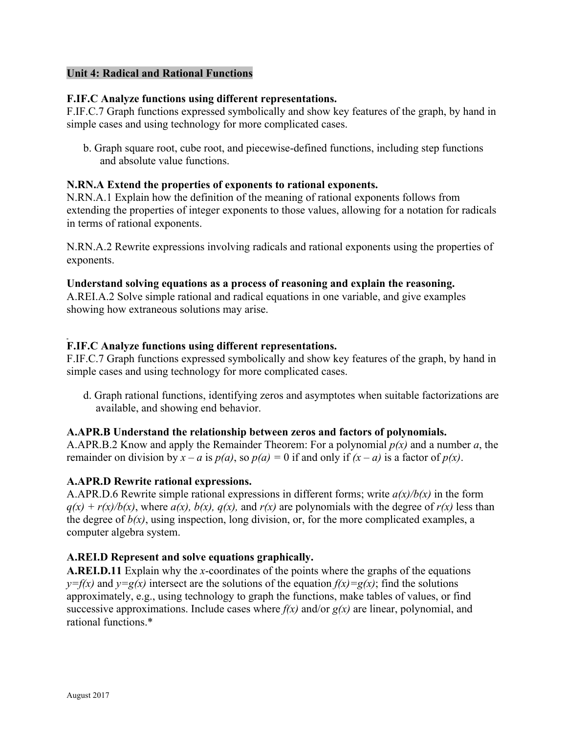### **Unit 4: Radical and Rational Functions**

### **F.IF.C Analyze functions using different representations.**

F.IF.C.7 Graph functions expressed symbolically and show key features of the graph, by hand in simple cases and using technology for more complicated cases.

b. Graph square root, cube root, and piecewise-defined functions, including step functions and absolute value functions.

### **N.RN.A Extend the properties of exponents to rational exponents.**

N.RN.A.1 Explain how the definition of the meaning of rational exponents follows from extending the properties of integer exponents to those values, allowing for a notation for radicals in terms of rational exponents.

N.RN.A.2 Rewrite expressions involving radicals and rational exponents using the properties of exponents.

### **Understand solving equations as a process of reasoning and explain the reasoning.**

A.REI.A.2 Solve simple rational and radical equations in one variable, and give examples showing how extraneous solutions may arise.

### **F.IF.C Analyze functions using different representations.**

F.IF.C.7 Graph functions expressed symbolically and show key features of the graph, by hand in simple cases and using technology for more complicated cases.

d. Graph rational functions, identifying zeros and asymptotes when suitable factorizations are available, and showing end behavior.

### **A.APR.B Understand the relationship between zeros and factors of polynomials.**

A.APR.B.2 Know and apply the Remainder Theorem: For a polynomial *p(x)* and a number *a*, the remainder on division by  $x - a$  is  $p(a)$ , so  $p(a) = 0$  if and only if  $(x - a)$  is a factor of  $p(x)$ .

### **A.APR.D Rewrite rational expressions.**

A.APR.D.6 Rewrite simple rational expressions in different forms; write *a(x)/b(x)* in the form  $q(x) + r(x)/b(x)$ , where  $a(x)$ ,  $b(x)$ ,  $q(x)$ , and  $r(x)$  are polynomials with the degree of  $r(x)$  less than the degree of  $b(x)$ , using inspection, long division, or, for the more complicated examples, a computer algebra system.

# **A.REI.D Represent and solve equations graphically.**

**A.REI.D.11** Explain why the *x*-coordinates of the points where the graphs of the equations  $y=f(x)$  and  $y=g(x)$  intersect are the solutions of the equation  $f(x)=g(x)$ ; find the solutions approximately, e.g., using technology to graph the functions, make tables of values, or find successive approximations. Include cases where  $f(x)$  and/or  $g(x)$  are linear, polynomial, and rational functions.\*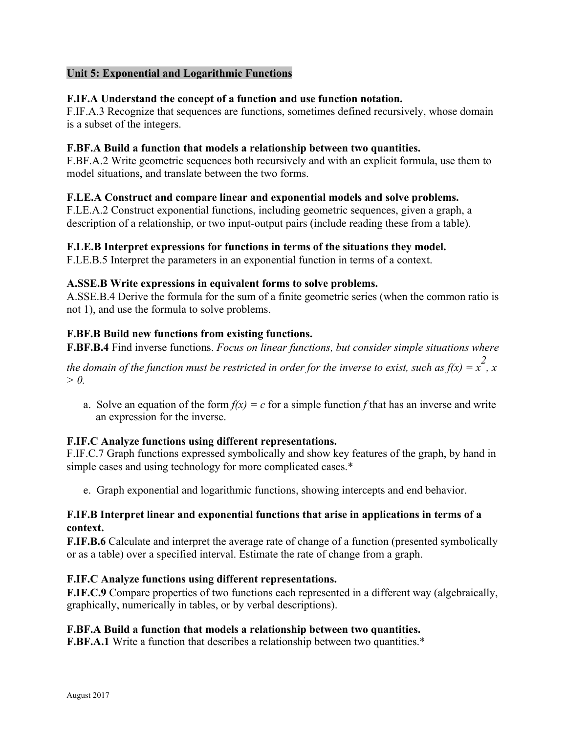# **Unit 5: Exponential and Logarithmic Functions**

### **F.IF.A Understand the concept of a function and use function notation.**

F.IF.A.3 Recognize that sequences are functions, sometimes defined recursively, whose domain is a subset of the integers.

### **F.BF.A Build a function that models a relationship between two quantities.**

F.BF.A.2 Write geometric sequences both recursively and with an explicit formula, use them to model situations, and translate between the two forms.

### **F.LE.A Construct and compare linear and exponential models and solve problems.**

F.LE.A.2 Construct exponential functions, including geometric sequences, given a graph, a description of a relationship, or two input-output pairs (include reading these from a table).

### **F.LE.B Interpret expressions for functions in terms of the situations they model.**

F.LE.B.5 Interpret the parameters in an exponential function in terms of a context.

### **A.SSE.B Write expressions in equivalent forms to solve problems.**

A.SSE.B.4 Derive the formula for the sum of a finite geometric series (when the common ratio is not 1), and use the formula to solve problems.

### **F.BF.B Build new functions from existing functions.**

**F.BF.B.4** Find inverse functions. *Focus on linear functions, but consider simple situations where* 

*the domain of the function must be restricted in order for the inverse to exist, such as f(x)* =  $\frac{2}{x}$ , x *> 0.* 

a. Solve an equation of the form  $f(x) = c$  for a simple function f that has an inverse and write an expression for the inverse.

### **F.IF.C Analyze functions using different representations.**

F.IF.C.7 Graph functions expressed symbolically and show key features of the graph, by hand in simple cases and using technology for more complicated cases.\*

e. Graph exponential and logarithmic functions, showing intercepts and end behavior.

### **F.IF.B Interpret linear and exponential functions that arise in applications in terms of a context.**

**F.IF.B.6** Calculate and interpret the average rate of change of a function (presented symbolically or as a table) over a specified interval. Estimate the rate of change from a graph.

### **F.IF.C Analyze functions using different representations.**

**F.IF.C.9** Compare properties of two functions each represented in a different way (algebraically, graphically, numerically in tables, or by verbal descriptions).

### **F.BF.A Build a function that models a relationship between two quantities.**

**F.BF.A.1** Write a function that describes a relationship between two quantities.\*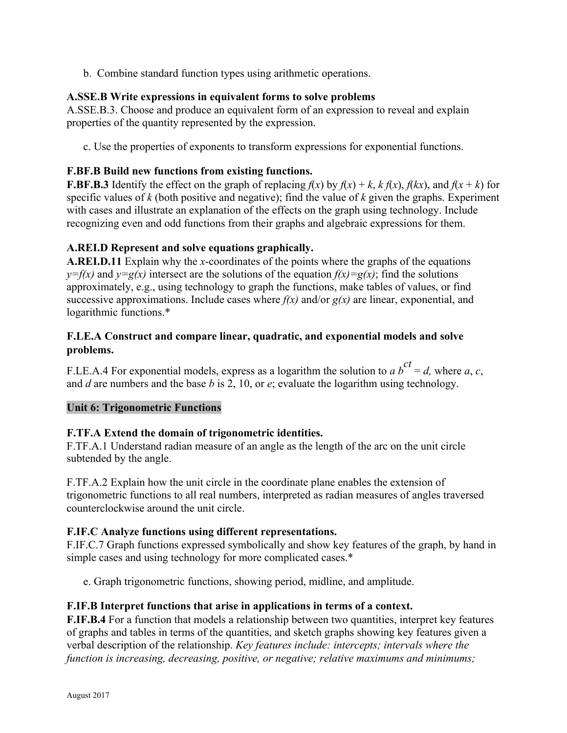b. Combine standard function types using arithmetic operations.

# **A.SSE.B Write expressions in equivalent forms to solve problems**

A.SSE.B.3. Choose and produce an equivalent form of an expression to reveal and explain properties of the quantity represented by the expression.

c. Use the properties of exponents to transform expressions for exponential functions.

# **F.BF.B Build new functions from existing functions.**

**F.BF.B.3** Identify the effect on the graph of replacing  $f(x)$  by  $f(x) + k$ ,  $k f(x)$ ,  $f(kx)$ , and  $f(x + k)$  for specific values of *k* (both positive and negative); find the value of *k* given the graphs. Experiment with cases and illustrate an explanation of the effects on the graph using technology. Include recognizing even and odd functions from their graphs and algebraic expressions for them.

# **A.REI.D Represent and solve equations graphically.**

**A.REI.D.11** Explain why the *x*-coordinates of the points where the graphs of the equations  $y=f(x)$  and  $y=g(x)$  intersect are the solutions of the equation  $f(x)=g(x)$ ; find the solutions approximately, e.g., using technology to graph the functions, make tables of values, or find successive approximations. Include cases where  $f(x)$  and/or  $g(x)$  are linear, exponential, and logarithmic functions.\*

# **F.LE.A Construct and compare linear, quadratic, and exponential models and solve problems.**

F.LE.A.4 For exponential models, express as a logarithm the solution to *a*  $b^{ct} = d$ , where *a*, *c*, and *d* are numbers and the base *b* is 2, 10, or *e*; evaluate the logarithm using technology.

# **Unit 6: Trigonometric Functions**

# **F.TF.A Extend the domain of trigonometric identities.**

F.TF.A.1 Understand radian measure of an angle as the length of the arc on the unit circle subtended by the angle.

F.TF.A.2 Explain how the unit circle in the coordinate plane enables the extension of trigonometric functions to all real numbers, interpreted as radian measures of angles traversed counterclockwise around the unit circle.

# **F.IF.C Analyze functions using different representations.**

F.IF.C.7 Graph functions expressed symbolically and show key features of the graph, by hand in simple cases and using technology for more complicated cases.\*

e. Graph trigonometric functions, showing period, midline, and amplitude.

# **F.IF.B Interpret functions that arise in applications in terms of a context.**

**F.IF.B.4** For a function that models a relationship between two quantities, interpret key features of graphs and tables in terms of the quantities, and sketch graphs showing key features given a verbal description of the relationship. *Key features include: intercepts; intervals where the function is increasing, decreasing, positive, or negative; relative maximums and minimums;*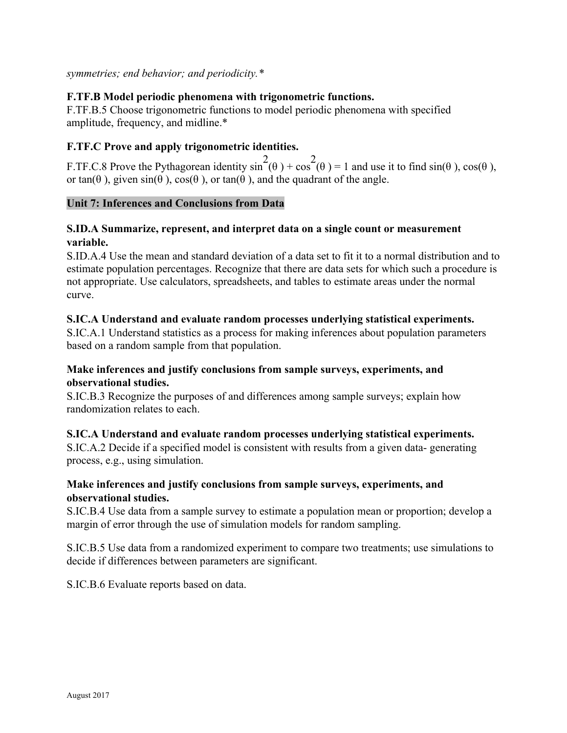*symmetries; end behavior; and periodicity.\** 

# **F.TF.B Model periodic phenomena with trigonometric functions.**

F.TF.B.5 Choose trigonometric functions to model periodic phenomena with specified amplitude, frequency, and midline.\*

# **F.TF.C Prove and apply trigonometric identities.**

F.TF.C.8 Prove the Pythagorean identity  $\sin^2(\theta) + \cos^2(\theta) = 1$  and use it to find  $\sin(\theta)$ ,  $\cos(\theta)$ , or tan( $\theta$ ), given sin( $\theta$ ), cos( $\theta$ ), or tan( $\theta$ ), and the quadrant of the angle.

### **Unit 7: Inferences and Conclusions from Data**

# **S.ID.A Summarize, represent, and interpret data on a single count or measurement variable.**

S.ID.A.4 Use the mean and standard deviation of a data set to fit it to a normal distribution and to estimate population percentages. Recognize that there are data sets for which such a procedure is not appropriate. Use calculators, spreadsheets, and tables to estimate areas under the normal curve.

### **S.IC.A Understand and evaluate random processes underlying statistical experiments.**

S.IC.A.1 Understand statistics as a process for making inferences about population parameters based on a random sample from that population.

# **Make inferences and justify conclusions from sample surveys, experiments, and observational studies.**

S.IC.B.3 Recognize the purposes of and differences among sample surveys; explain how randomization relates to each.

# **S.IC.A Understand and evaluate random processes underlying statistical experiments.**

S.IC.A.2 Decide if a specified model is consistent with results from a given data- generating process, e.g., using simulation.

# **Make inferences and justify conclusions from sample surveys, experiments, and observational studies.**

S.IC.B.4 Use data from a sample survey to estimate a population mean or proportion; develop a margin of error through the use of simulation models for random sampling.

S.IC.B.5 Use data from a randomized experiment to compare two treatments; use simulations to decide if differences between parameters are significant.

S.IC.B.6 Evaluate reports based on data.